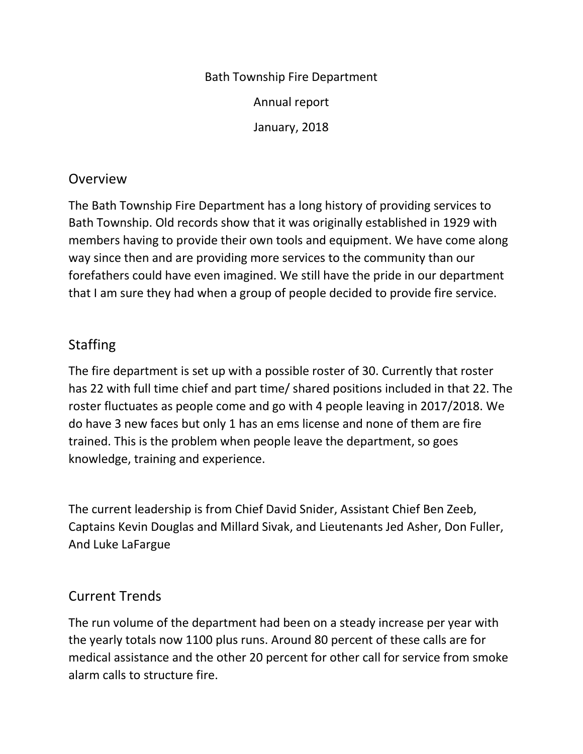Bath Township Fire Department Annual report January, 2018

#### Overview

The Bath Township Fire Department has a long history of providing services to Bath Township. Old records show that it was originally established in 1929 with members having to provide their own tools and equipment. We have come along way since then and are providing more services to the community than our forefathers could have even imagined. We still have the pride in our department that I am sure they had when a group of people decided to provide fire service.

## **Staffing**

The fire department is set up with a possible roster of 30. Currently that roster has 22 with full time chief and part time/ shared positions included in that 22. The roster fluctuates as people come and go with 4 people leaving in 2017/2018. We do have 3 new faces but only 1 has an ems license and none of them are fire trained. This is the problem when people leave the department, so goes knowledge, training and experience.

The current leadership is from Chief David Snider, Assistant Chief Ben Zeeb, Captains Kevin Douglas and Millard Sivak, and Lieutenants Jed Asher, Don Fuller, And Luke LaFargue

# Current Trends

The run volume of the department had been on a steady increase per year with the yearly totals now 1100 plus runs. Around 80 percent of these calls are for medical assistance and the other 20 percent for other call for service from smoke alarm calls to structure fire.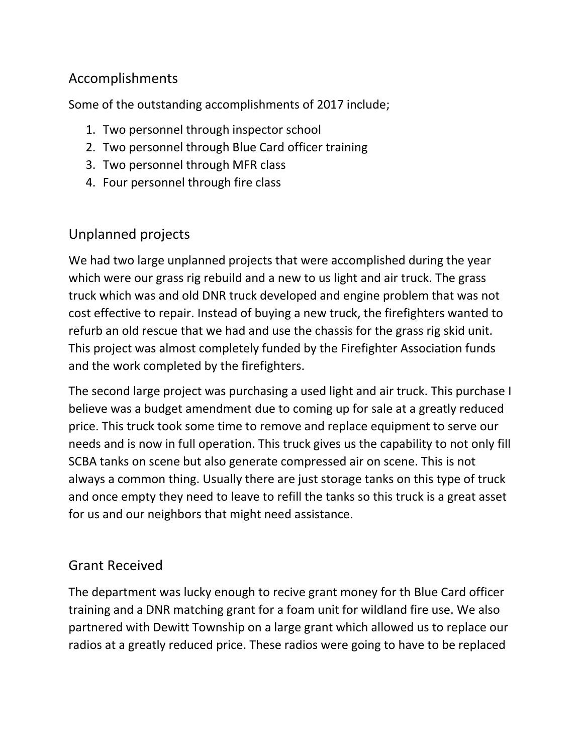## Accomplishments

Some of the outstanding accomplishments of 2017 include;

- 1. Two personnel through inspector school
- 2. Two personnel through Blue Card officer training
- 3. Two personnel through MFR class
- 4. Four personnel through fire class

## Unplanned projects

We had two large unplanned projects that were accomplished during the year which were our grass rig rebuild and a new to us light and air truck. The grass truck which was and old DNR truck developed and engine problem that was not cost effective to repair. Instead of buying a new truck, the firefighters wanted to refurb an old rescue that we had and use the chassis for the grass rig skid unit. This project was almost completely funded by the Firefighter Association funds and the work completed by the firefighters.

The second large project was purchasing a used light and air truck. This purchase I believe was a budget amendment due to coming up for sale at a greatly reduced price. This truck took some time to remove and replace equipment to serve our needs and is now in full operation. This truck gives us the capability to not only fill SCBA tanks on scene but also generate compressed air on scene. This is not always a common thing. Usually there are just storage tanks on this type of truck and once empty they need to leave to refill the tanks so this truck is a great asset for us and our neighbors that might need assistance.

# Grant Received

The department was lucky enough to recive grant money for th Blue Card officer training and a DNR matching grant for a foam unit for wildland fire use. We also partnered with Dewitt Township on a large grant which allowed us to replace our radios at a greatly reduced price. These radios were going to have to be replaced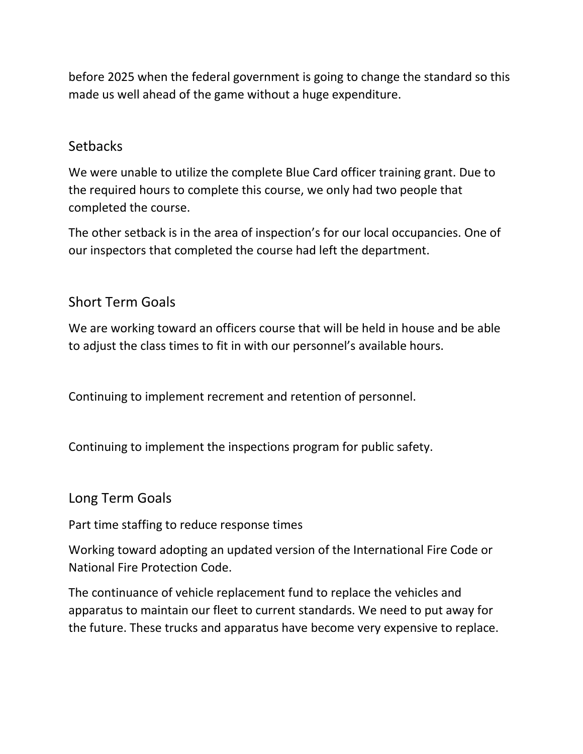before 2025 when the federal government is going to change the standard so this made us well ahead of the game without a huge expenditure.

#### **Setbacks**

We were unable to utilize the complete Blue Card officer training grant. Due to the required hours to complete this course, we only had two people that completed the course.

The other setback is in the area of inspection's for our local occupancies. One of our inspectors that completed the course had left the department.

### Short Term Goals

We are working toward an officers course that will be held in house and be able to adjust the class times to fit in with our personnel's available hours.

Continuing to implement recrement and retention of personnel.

Continuing to implement the inspections program for public safety.

#### Long Term Goals

Part time staffing to reduce response times

Working toward adopting an updated version of the International Fire Code or National Fire Protection Code.

The continuance of vehicle replacement fund to replace the vehicles and apparatus to maintain our fleet to current standards. We need to put away for the future. These trucks and apparatus have become very expensive to replace.